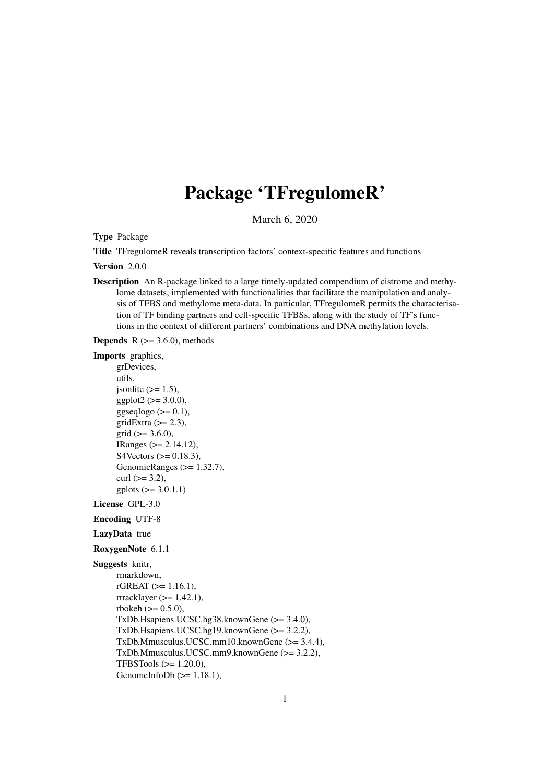# Package 'TFregulomeR'

March 6, 2020

Type Package

Title TFregulomeR reveals transcription factors' context-specific features and functions

Version 2.0.0

Description An R-package linked to a large timely-updated compendium of cistrome and methylome datasets, implemented with functionalities that facilitate the manipulation and analysis of TFBS and methylome meta-data. In particular, TFregulomeR permits the characterisation of TF binding partners and cell-specific TFBSs, along with the study of TF's functions in the context of different partners' combinations and DNA methylation levels.

**Depends**  $R$  ( $> = 3.6.0$ ), methods

```
Imports graphics,
      grDevices,
      utils,
      jsonlite (>= 1.5),
      ggplot2 (> = 3.0.0),ggseqlogo (>= 0.1),
      gridExtra (>= 2.3),
      grid (> = 3.6.0),
      IRanges (>= 2.14.12),
      S4Vectors (>= 0.18.3),
      GenomicRanges (>= 1.32.7),
      curl (>= 3.2),
      gplots (= 3.0.1.1)License GPL-3.0
```
Encoding UTF-8

```
LazyData true
```
#### RoxygenNote 6.1.1

```
Suggests knitr,
```

```
rmarkdown,
rGREAT (>= 1.16.1),
rtracklayer (>= 1.42.1),
rbokeh (>= 0.5.0),
TxDb.Hsapiens.UCSC.hg38.knownGene (>= 3.4.0),
TxDb.Hsapiens.UCSC.hg19.knownGene (>= 3.2.2),
TxDb.Mmusculus.UCSC.mm10.knownGene (>= 3.4.4),
TxDb.Mmusculus.UCSC.mm9.knownGene (>= 3.2.2),
TFBSTools (>= 1.20.0),
GenomeInfoDb (>= 1.18.1),
```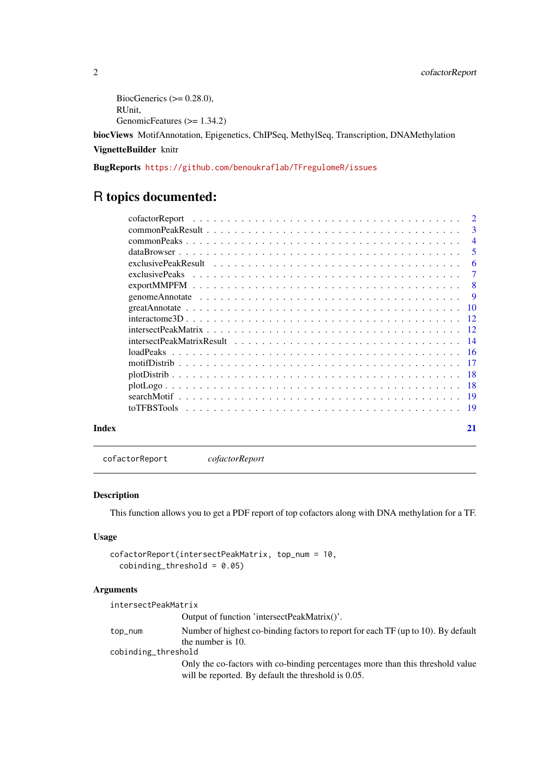```
BiocGenerics (>= 0.28.0),
RUnit,
GenomicFeatures (>= 1.34.2)
```
biocViews MotifAnnotation, Epigenetics, ChIPSeq, MethylSeq, Transcription, DNAMethylation

# VignetteBuilder knitr

BugReports <https://github.com/benoukraflab/TFregulomeR/issues>

# R topics documented:

|       | $\overline{2}$<br>cofactorReport<br>. The contract of the contract of the contract of the contract of the contract of the contract of $\mathcal{A}$ |                |
|-------|-----------------------------------------------------------------------------------------------------------------------------------------------------|----------------|
|       |                                                                                                                                                     | -3             |
|       |                                                                                                                                                     | $\overline{4}$ |
|       |                                                                                                                                                     | -5             |
|       |                                                                                                                                                     | -6             |
|       |                                                                                                                                                     | $\tau$         |
|       |                                                                                                                                                     | - 8            |
|       |                                                                                                                                                     | - 9            |
|       |                                                                                                                                                     |                |
|       |                                                                                                                                                     |                |
|       |                                                                                                                                                     |                |
|       |                                                                                                                                                     |                |
|       |                                                                                                                                                     |                |
|       |                                                                                                                                                     |                |
|       |                                                                                                                                                     |                |
|       |                                                                                                                                                     |                |
|       |                                                                                                                                                     |                |
|       |                                                                                                                                                     |                |
| Index | 21                                                                                                                                                  |                |

cofactorReport *cofactorReport*

#### Description

This function allows you to get a PDF report of top cofactors along with DNA methylation for a TF.

# Usage

```
cofactorReport(intersectPeakMatrix, top_num = 10,
  \text{cobinding_threshold} = 0.05
```
# Arguments

| intersectPeakMatrix |                                                                                   |  |
|---------------------|-----------------------------------------------------------------------------------|--|
|                     | Output of function 'intersectPeakMatrix()'.                                       |  |
| top_num             | Number of highest co-binding factors to report for each TF (up to 10). By default |  |
|                     | the number is 10.                                                                 |  |
| cobinding_threshold |                                                                                   |  |
|                     | Only the co-factors with co-binding percentages more than this threshold value    |  |
|                     | will be reported. By default the threshold is 0.05.                               |  |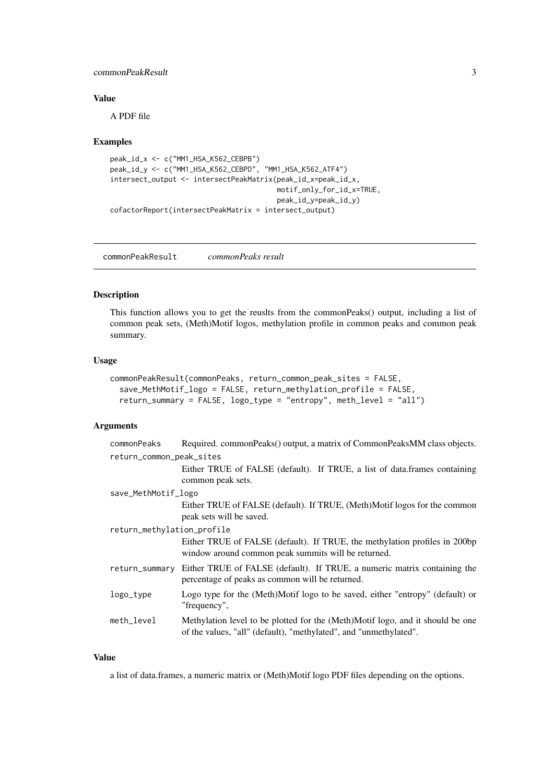#### <span id="page-2-0"></span>commonPeakResult 3

#### Value

A PDF file

#### Examples

```
peak_id_x <- c("MM1_HSA_K562_CEBPB")
peak_id_y <- c("MM1_HSA_K562_CEBPD", "MM1_HSA_K562_ATF4")
intersect_output <- intersectPeakMatrix(peak_id_x=peak_id_x,
                                        motif_only_for_id_x=TRUE,
                                        peak_id_y=peak_id_y)
cofactorReport(intersectPeakMatrix = intersect_output)
```
commonPeakResult *commonPeaks result*

#### Description

This function allows you to get the reuslts from the commonPeaks() output, including a list of common peak sets, (Meth)Motif logos, methylation profile in common peaks and common peak summary.

#### Usage

```
commonPeakResult(commonPeaks, return_common_peak_sites = FALSE,
 save_MethMotif_logo = FALSE, return_methylation_profile = FALSE,
 return_summary = FALSE, logo_type = "entropy", meth_level = "all")
```
### Arguments

| commonPeaks                | Required. commonPeaks() output, a matrix of CommonPeaksMM class objects.                                                                            |  |
|----------------------------|-----------------------------------------------------------------------------------------------------------------------------------------------------|--|
| return_common_peak_sites   |                                                                                                                                                     |  |
|                            | Either TRUE of FALSE (default). If TRUE, a list of data.frames containing<br>common peak sets.                                                      |  |
| save_MethMotif_logo        |                                                                                                                                                     |  |
|                            | Either TRUE of FALSE (default). If TRUE, (Meth)Motif logos for the common<br>peak sets will be saved.                                               |  |
| return_methylation_profile |                                                                                                                                                     |  |
|                            | Either TRUE of FALSE (default). If TRUE, the methylation profiles in 200bp<br>window around common peak summits will be returned.                   |  |
| return_summary             | Either TRUE of FALSE (default). If TRUE, a numeric matrix containing the<br>percentage of peaks as common will be returned.                         |  |
| logo_type                  | Logo type for the (Meth)Motif logo to be saved, either "entropy" (default) or<br>"frequency",                                                       |  |
| meth_level                 | Methylation level to be plotted for the (Meth)Motif logo, and it should be one<br>of the values, "all" (default), "methylated", and "unmethylated". |  |

# Value

a list of data.frames, a numeric matrix or (Meth)Motif logo PDF files depending on the options.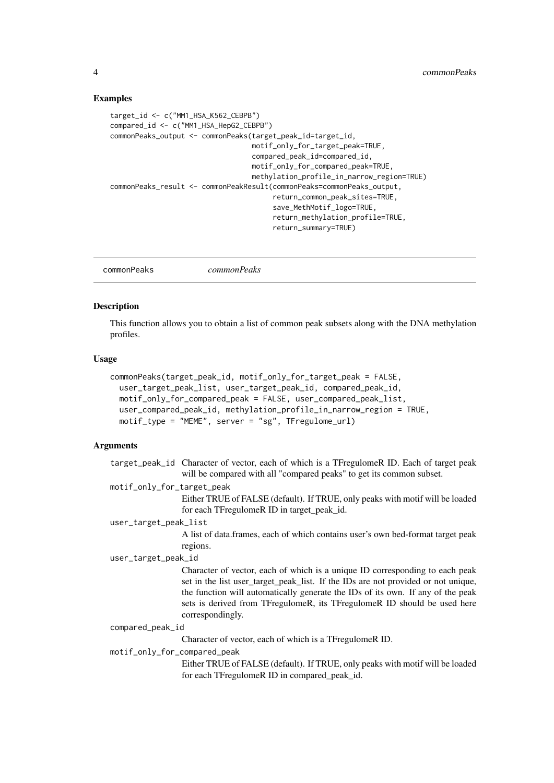#### <span id="page-3-0"></span>Examples

```
target_id <- c("MM1_HSA_K562_CEBPB")
compared_id <- c("MM1_HSA_HepG2_CEBPB")
commonPeaks_output <- commonPeaks(target_peak_id=target_id,
                                  motif_only_for_target_peak=TRUE,
                                  compared_peak_id=compared_id,
                                  motif_only_for_compared_peak=TRUE,
                                  methylation_profile_in_narrow_region=TRUE)
commonPeaks_result <- commonPeakResult(commonPeaks=commonPeaks_output,
                                       return_common_peak_sites=TRUE,
                                       save_MethMotif_logo=TRUE,
                                       return_methylation_profile=TRUE,
                                       return_summary=TRUE)
```
commonPeaks *commonPeaks*

#### Description

This function allows you to obtain a list of common peak subsets along with the DNA methylation profiles.

### Usage

```
commonPeaks(target_peak_id, motif_only_for_target_peak = FALSE,
 user_target_peak_list, user_target_peak_id, compared_peak_id,
 motif_only_for_compared_peak = FALSE, user_compared_peak_list,
 user_compared_peak_id, methylation_profile_in_narrow_region = TRUE,
 motif_type = "MEME", server = "sg", TFregulome_url)
```
# Arguments

|                              | target_peak_id Character of vector, each of which is a TFregulomeR ID. Each of target peak<br>will be compared with all "compared peaks" to get its common subset.                                                                                                                                                                                   |
|------------------------------|------------------------------------------------------------------------------------------------------------------------------------------------------------------------------------------------------------------------------------------------------------------------------------------------------------------------------------------------------|
| motif_only_for_target_peak   |                                                                                                                                                                                                                                                                                                                                                      |
|                              | Either TRUE of FALSE (default). If TRUE, only peaks with motif will be loaded<br>for each TFregulomeR ID in target_peak_id.                                                                                                                                                                                                                          |
| user_target_peak_list        |                                                                                                                                                                                                                                                                                                                                                      |
|                              | A list of data frames, each of which contains user's own bed-format target peak                                                                                                                                                                                                                                                                      |
|                              | regions.                                                                                                                                                                                                                                                                                                                                             |
| user_target_peak_id          |                                                                                                                                                                                                                                                                                                                                                      |
|                              | Character of vector, each of which is a unique ID corresponding to each peak<br>set in the list user_target_peak_list. If the IDs are not provided or not unique,<br>the function will automatically generate the IDs of its own. If any of the peak<br>sets is derived from TFregulomeR, its TFregulomeR ID should be used here<br>correspondingly. |
| compared_peak_id             |                                                                                                                                                                                                                                                                                                                                                      |
|                              | Character of vector, each of which is a TF regulomer ID.                                                                                                                                                                                                                                                                                             |
| motif_only_for_compared_peak |                                                                                                                                                                                                                                                                                                                                                      |
|                              | Fither TRUE of EALSE (default) If TRUE only peaks with motif will be loaded                                                                                                                                                                                                                                                                          |

Either TRUE of FALSE (default). If TRUE, only peaks with motif will be loaded for each TFregulomeR ID in compared\_peak\_id.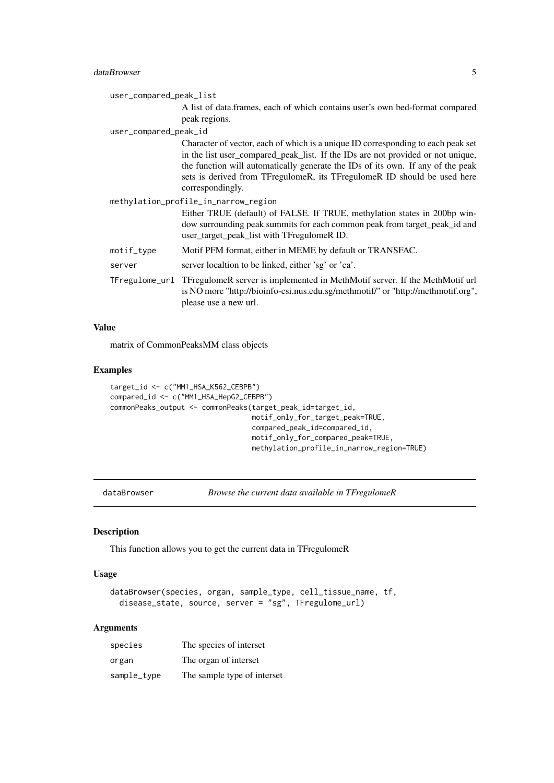#### <span id="page-4-0"></span>dataBrowser 5

| user_compared_peak_list |                                                                                                                                                                                                                                                                                                                                                        |
|-------------------------|--------------------------------------------------------------------------------------------------------------------------------------------------------------------------------------------------------------------------------------------------------------------------------------------------------------------------------------------------------|
|                         | A list of data.frames, each of which contains user's own bed-format compared<br>peak regions.                                                                                                                                                                                                                                                          |
| user_compared_peak_id   |                                                                                                                                                                                                                                                                                                                                                        |
|                         | Character of vector, each of which is a unique ID corresponding to each peak set<br>in the list user_compared_peak_list. If the IDs are not provided or not unique,<br>the function will automatically generate the IDs of its own. If any of the peak<br>sets is derived from TFregulomeR, its TFregulomeR ID should be used here<br>correspondingly. |
|                         | methylation_profile_in_narrow_region                                                                                                                                                                                                                                                                                                                   |
|                         | Either TRUE (default) of FALSE. If TRUE, methylation states in 200bp win-<br>dow surrounding peak summits for each common peak from target_peak_id and<br>user_target_peak_list with TFregulomeR ID.                                                                                                                                                   |
| motif_type              | Motif PFM format, either in MEME by default or TRANSFAC.                                                                                                                                                                                                                                                                                               |
| server                  | server localtion to be linked, either 'sg' or 'ca'.                                                                                                                                                                                                                                                                                                    |
|                         | TFregulome_url TFregulomeR server is implemented in MethMotif server. If the MethMotif url<br>is NO more "http://bioinfo-csi.nus.edu.sg/methmotif/" or "http://methmotif.org",<br>please use a new url.                                                                                                                                                |

#### Value

matrix of CommonPeaksMM class objects

#### Examples

```
target_id <- c("MM1_HSA_K562_CEBPB")
compared_id <- c("MM1_HSA_HepG2_CEBPB")
commonPeaks_output <- commonPeaks(target_peak_id=target_id,
                                  motif_only_for_target_peak=TRUE,
                                  compared_peak_id=compared_id,
                                  motif_only_for_compared_peak=TRUE,
                                  methylation_profile_in_narrow_region=TRUE)
```
dataBrowser *Browse the current data available in TFregulomeR*

### Description

This function allows you to get the current data in TFregulomeR

# Usage

```
dataBrowser(species, organ, sample_type, cell_tissue_name, tf,
 disease_state, source, server = "sg", TFregulome_url)
```
#### Arguments

| species     | The species of interset     |
|-------------|-----------------------------|
| organ       | The organ of interset       |
| sample_type | The sample type of interset |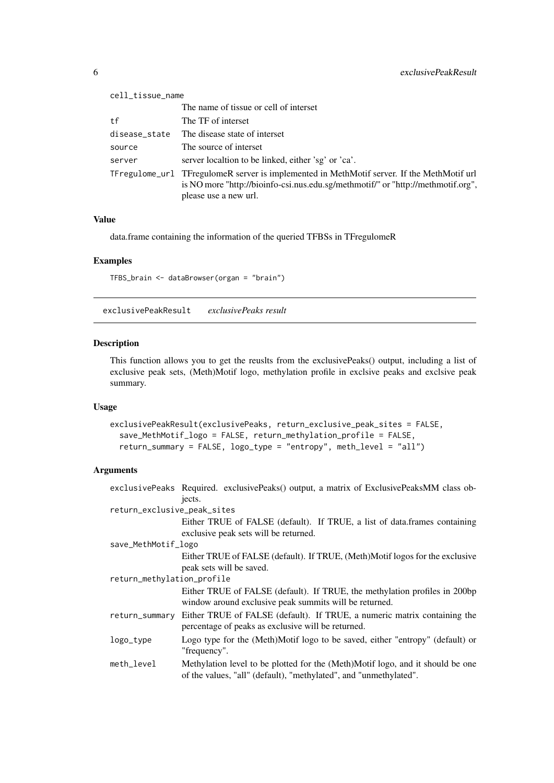<span id="page-5-0"></span>

| cell_tissue_name |                                                                                                                                                                                                         |
|------------------|---------------------------------------------------------------------------------------------------------------------------------------------------------------------------------------------------------|
|                  | The name of tissue or cell of interset                                                                                                                                                                  |
| tf               | The TF of interset                                                                                                                                                                                      |
| disease_state    | The disease state of interset                                                                                                                                                                           |
| source           | The source of interset                                                                                                                                                                                  |
| server           | server localtion to be linked, either 'sg' or 'ca'.                                                                                                                                                     |
|                  | TFregulome_url TFregulomeR server is implemented in MethMotif server. If the MethMotif url<br>is NO more "http://bioinfo-csi.nus.edu.sg/methmotif/" or "http://methmotif.org",<br>please use a new url. |

# Value

data.frame containing the information of the queried TFBSs in TFregulomeR

#### Examples

TFBS\_brain <- dataBrowser(organ = "brain")

exclusivePeakResult *exclusivePeaks result*

# Description

This function allows you to get the reuslts from the exclusivePeaks() output, including a list of exclusive peak sets, (Meth)Motif logo, methylation profile in exclsive peaks and exclsive peak summary.

# Usage

```
exclusivePeakResult(exclusivePeaks, return_exclusive_peak_sites = FALSE,
  save_MethMotif_logo = FALSE, return_methylation_profile = FALSE,
 return_summary = FALSE, logo_type = "entropy", meth_level = "all")
```
### Arguments

|                             | exclusivePeaks Required. exclusivePeaks() output, a matrix of ExclusivePeaksMM class ob-<br>jects.                                                  |  |
|-----------------------------|-----------------------------------------------------------------------------------------------------------------------------------------------------|--|
| return_exclusive_peak_sites |                                                                                                                                                     |  |
|                             | Either TRUE of FALSE (default). If TRUE, a list of data.frames containing<br>exclusive peak sets will be returned.                                  |  |
| save_MethMotif_logo         |                                                                                                                                                     |  |
|                             | Either TRUE of FALSE (default). If TRUE, (Meth)Motif logos for the exclusive<br>peak sets will be saved.                                            |  |
| return_methylation_profile  |                                                                                                                                                     |  |
|                             | Either TRUE of FALSE (default). If TRUE, the methylation profiles in 200bp<br>window around exclusive peak summits will be returned.                |  |
| return_summary              | Either TRUE of FALSE (default). If TRUE, a numeric matrix containing the<br>percentage of peaks as exclusive will be returned.                      |  |
| logo_type                   | Logo type for the (Meth)Motif logo to be saved, either "entropy" (default) or<br>"frequency".                                                       |  |
| meth_level                  | Methylation level to be plotted for the (Meth)Motif logo, and it should be one<br>of the values, "all" (default), "methylated", and "unmethylated". |  |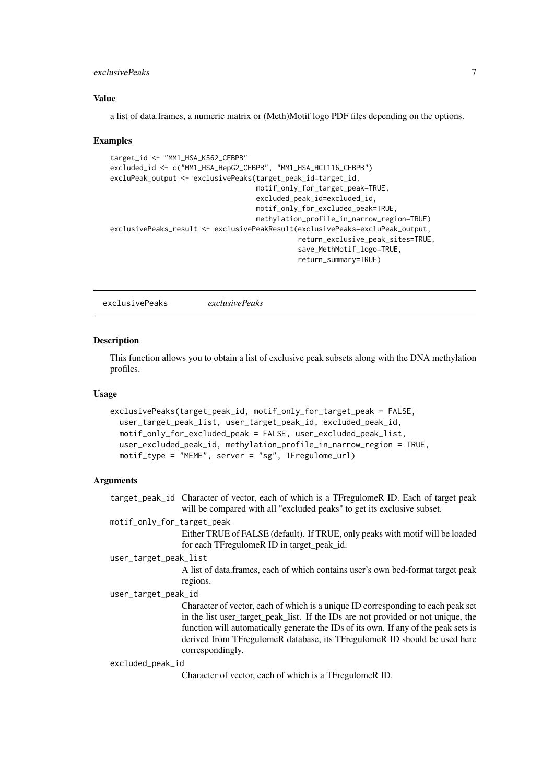#### <span id="page-6-0"></span>exclusivePeaks 7

#### Value

a list of data.frames, a numeric matrix or (Meth)Motif logo PDF files depending on the options.

#### Examples

```
target_id <- "MM1_HSA_K562_CEBPB"
excluded_id <- c("MM1_HSA_HepG2_CEBPB", "MM1_HSA_HCT116_CEBPB")
excluPeak_output <- exclusivePeaks(target_peak_id=target_id,
                                   motif_only_for_target_peak=TRUE,
                                   excluded_peak_id=excluded_id,
                                   motif_only_for_excluded_peak=TRUE,
                                   methylation_profile_in_narrow_region=TRUE)
exclusivePeaks_result <- exclusivePeakResult(exclusivePeaks=excluPeak_output,
                                             return_exclusive_peak_sites=TRUE,
                                             save_MethMotif_logo=TRUE,
                                             return_summary=TRUE)
```
exclusivePeaks *exclusivePeaks*

#### Description

This function allows you to obtain a list of exclusive peak subsets along with the DNA methylation profiles.

#### Usage

```
exclusivePeaks(target_peak_id, motif_only_for_target_peak = FALSE,
 user_target_peak_list, user_target_peak_id, excluded_peak_id,
 motif_only_for_excluded_peak = FALSE, user_excluded_peak_list,
 user_excluded_peak_id, methylation_profile_in_narrow_region = TRUE,
 motif_type = "MEME", server = "sg", TFregulome_url)
```
#### Arguments

target\_peak\_id Character of vector, each of which is a TFregulomeR ID. Each of target peak will be compared with all "excluded peaks" to get its exclusive subset.

# motif\_only\_for\_target\_peak

Either TRUE of FALSE (default). If TRUE, only peaks with motif will be loaded for each TFregulomeR ID in target\_peak\_id.

# user\_target\_peak\_list

A list of data.frames, each of which contains user's own bed-format target peak regions.

#### user\_target\_peak\_id

Character of vector, each of which is a unique ID corresponding to each peak set in the list user\_target\_peak\_list. If the IDs are not provided or not unique, the function will automatically generate the IDs of its own. If any of the peak sets is derived from TFregulomeR database, its TFregulomeR ID should be used here correspondingly.

#### excluded\_peak\_id

Character of vector, each of which is a TFregulomeR ID.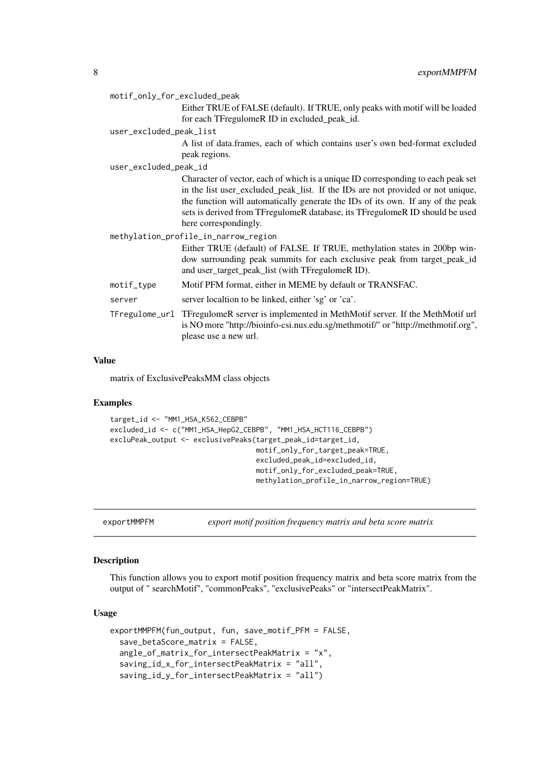<span id="page-7-0"></span>

| motif_only_for_excluded_peak         |                                                                                                                                                                                                                                                                                                                                                                 |  |
|--------------------------------------|-----------------------------------------------------------------------------------------------------------------------------------------------------------------------------------------------------------------------------------------------------------------------------------------------------------------------------------------------------------------|--|
|                                      | Either TRUE of FALSE (default). If TRUE, only peaks with motif will be loaded                                                                                                                                                                                                                                                                                   |  |
|                                      | for each TFregulomeR ID in excluded_peak_id.                                                                                                                                                                                                                                                                                                                    |  |
| user_excluded_peak_list              |                                                                                                                                                                                                                                                                                                                                                                 |  |
|                                      | A list of data.frames, each of which contains user's own bed-format excluded                                                                                                                                                                                                                                                                                    |  |
|                                      | peak regions.                                                                                                                                                                                                                                                                                                                                                   |  |
| user_excluded_peak_id                |                                                                                                                                                                                                                                                                                                                                                                 |  |
|                                      | Character of vector, each of which is a unique ID corresponding to each peak set<br>in the list user_excluded_peak_list. If the IDs are not provided or not unique,<br>the function will automatically generate the IDs of its own. If any of the peak<br>sets is derived from TFregulomeR database, its TFregulomeR ID should be used<br>here correspondingly. |  |
| methylation_profile_in_narrow_region |                                                                                                                                                                                                                                                                                                                                                                 |  |
|                                      | Either TRUE (default) of FALSE. If TRUE, methylation states in 200bp win-<br>dow surrounding peak summits for each exclusive peak from target_peak_id<br>and user_target_peak_list (with TFregulomeR ID).                                                                                                                                                       |  |
| motif_type                           | Motif PFM format, either in MEME by default or TRANSFAC.                                                                                                                                                                                                                                                                                                        |  |
| server                               | server localtion to be linked, either 'sg' or 'ca'.                                                                                                                                                                                                                                                                                                             |  |
|                                      | TFregulome_url TFregulomeR server is implemented in MethMotif server. If the MethMotif url<br>is NO more "http://bioinfo-csi.nus.edu.sg/methmotif/" or "http://methmotif.org",<br>please use a new url.                                                                                                                                                         |  |

# Value

matrix of ExclusivePeaksMM class objects

# Examples

```
target_id <- "MM1_HSA_K562_CEBPB"
excluded_id <- c("MM1_HSA_HepG2_CEBPB", "MM1_HSA_HCT116_CEBPB")
excluPeak_output <- exclusivePeaks(target_peak_id=target_id,
                                   motif_only_for_target_peak=TRUE,
                                   excluded_peak_id=excluded_id,
                                   motif_only_for_excluded_peak=TRUE,
                                   methylation_profile_in_narrow_region=TRUE)
```
exportMMPFM *export motif position frequency matrix and beta score matrix*

#### Description

This function allows you to export motif position frequency matrix and beta score matrix from the output of " searchMotif", "commonPeaks", "exclusivePeaks" or "intersectPeakMatrix".

```
exportMMPFM(fun_output, fun, save_motif_PFM = FALSE,
  save_betaScore_matrix = FALSE,
 angle_of_matrix_for_intersectPeakMatrix = "x",
  saving_id_x_for_intersectPeakMatrix = "all",
  saving_id_y_for_intersectPeakMatrix = "all")
```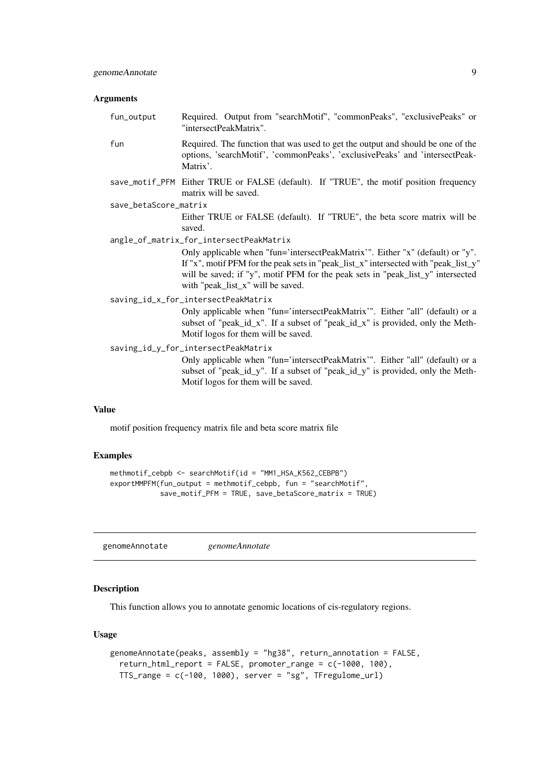#### <span id="page-8-0"></span>Arguments

| fun_output            | Required. Output from "searchMotif", "commonPeaks", "exclusivePeaks" or<br>"intersectPeakMatrix".                                                                                                                                                                                             |
|-----------------------|-----------------------------------------------------------------------------------------------------------------------------------------------------------------------------------------------------------------------------------------------------------------------------------------------|
| fun                   | Required. The function that was used to get the output and should be one of the<br>options, 'searchMotif', 'commonPeaks', 'exclusivePeaks' and 'intersectPeak-<br>Matrix'.                                                                                                                    |
|                       | save_motif_PFM Either TRUE or FALSE (default). If "TRUE", the motif position frequency<br>matrix will be saved.                                                                                                                                                                               |
| save_betaScore_matrix |                                                                                                                                                                                                                                                                                               |
|                       | Either TRUE or FALSE (default). If "TRUE", the beta score matrix will be<br>saved.                                                                                                                                                                                                            |
|                       | angle_of_matrix_for_intersectPeakMatrix                                                                                                                                                                                                                                                       |
|                       | Only applicable when "fun='intersectPeakMatrix'". Either "x" (default) or "y".<br>If "x", motif PFM for the peak sets in "peak_list_x" intersected with "peak_list_y"<br>will be saved; if "y", motif PFM for the peak sets in "peak_list_y" intersected<br>with "peak_list_x" will be saved. |
|                       | saving_id_x_for_intersectPeakMatrix                                                                                                                                                                                                                                                           |
|                       | Only applicable when "fun='intersectPeakMatrix'". Either "all" (default) or a<br>subset of "peak_id_x". If a subset of "peak_id_x" is provided, only the Meth-<br>Motif logos for them will be saved.                                                                                         |
|                       | saving_id_y_for_intersectPeakMatrix                                                                                                                                                                                                                                                           |
|                       | Only applicable when "fun='intersectPeakMatrix'". Either "all" (default) or a<br>subset of "peak_id_y". If a subset of "peak_id_y" is provided, only the Meth-<br>Motif logos for them will be saved.                                                                                         |
|                       |                                                                                                                                                                                                                                                                                               |

#### Value

motif position frequency matrix file and beta score matrix file

#### Examples

```
methmotif_cebpb <- searchMotif(id = "MM1_HSA_K562_CEBPB")
exportMMPFM(fun_output = methmotif_cebpb, fun = "searchMotif",
            save_motif_PFM = TRUE, save_betaScore_matrix = TRUE)
```
genomeAnnotate *genomeAnnotate*

# Description

This function allows you to annotate genomic locations of cis-regulatory regions.

```
genomeAnnotate(peaks, assembly = "hg38", return_annotation = FALSE,
 return_html_report = FALSE, promoter_range = c(-1000, 100),
 TTS_range = c(-100, 1000), server = "sg", TFregulome_url)
```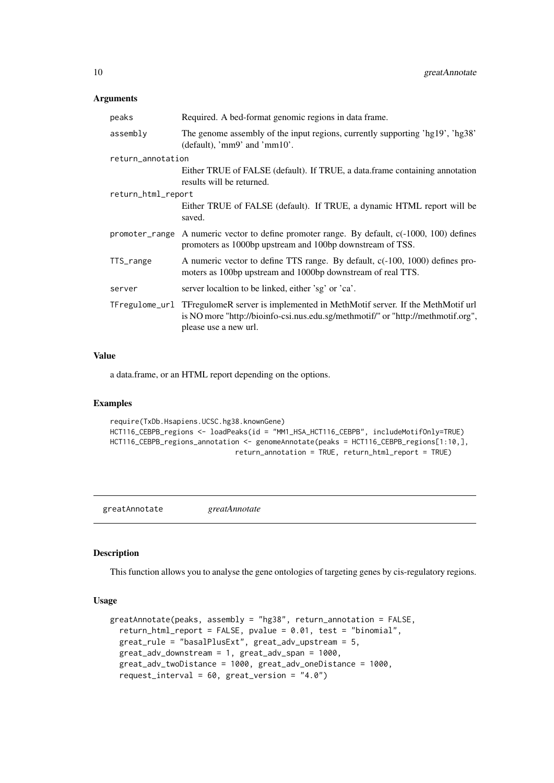# <span id="page-9-0"></span>Arguments

| peaks              | Required. A bed-format genomic regions in data frame.                                                                                                                                                   |
|--------------------|---------------------------------------------------------------------------------------------------------------------------------------------------------------------------------------------------------|
| assembly           | The genome assembly of the input regions, currently supporting 'hg19', 'hg38'<br>(default), 'mm9' and 'mm $10'$ .                                                                                       |
| return_annotation  |                                                                                                                                                                                                         |
|                    | Either TRUE of FALSE (default). If TRUE, a data frame containing annotation<br>results will be returned.                                                                                                |
| return_html_report |                                                                                                                                                                                                         |
|                    | Either TRUE of FALSE (default). If TRUE, a dynamic HTML report will be<br>saved.                                                                                                                        |
|                    | promoter_range A numeric vector to define promoter range. By default, $c(-1000, 100)$ defines<br>promoters as 1000bp upstream and 100bp downstream of TSS.                                              |
| TTS_range          | A numeric vector to define TTS range. By default, $c(-100, 1000)$ defines pro-<br>moters as 100bp upstream and 1000bp downstream of real TTS.                                                           |
| server             | server localtion to be linked, either 'sg' or 'ca'.                                                                                                                                                     |
|                    | TFregulome_url TFregulomeR server is implemented in MethMotif server. If the MethMotif url<br>is NO more "http://bioinfo-csi.nus.edu.sg/methmotif/" or "http://methmotif.org",<br>please use a new url. |

#### Value

a data.frame, or an HTML report depending on the options.

## Examples

```
require(TxDb.Hsapiens.UCSC.hg38.knownGene)
HCT116_CEBPB_regions <- loadPeaks(id = "MM1_HSA_HCT116_CEBPB", includeMotifOnly=TRUE)
HCT116_CEBPB_regions_annotation <- genomeAnnotate(peaks = HCT116_CEBPB_regions[1:10,],
                              return_annotation = TRUE, return_html_report = TRUE)
```
greatAnnotate *greatAnnotate*

#### Description

This function allows you to analyse the gene ontologies of targeting genes by cis-regulatory regions.

```
greatAnnotate(peaks, assembly = "hg38", return_annotation = FALSE,
 return_html_report = FALSE, pvalue = 0.01, test = "binomial",
 great_rule = "basalPlusExt", great_adv_upstream = 5,
 great_adv_downstream = 1, great_adv_span = 1000,
 great_adv_twoDistance = 1000, great_adv_oneDistance = 1000,
 request_interval = 60, great_version = "4.0")
```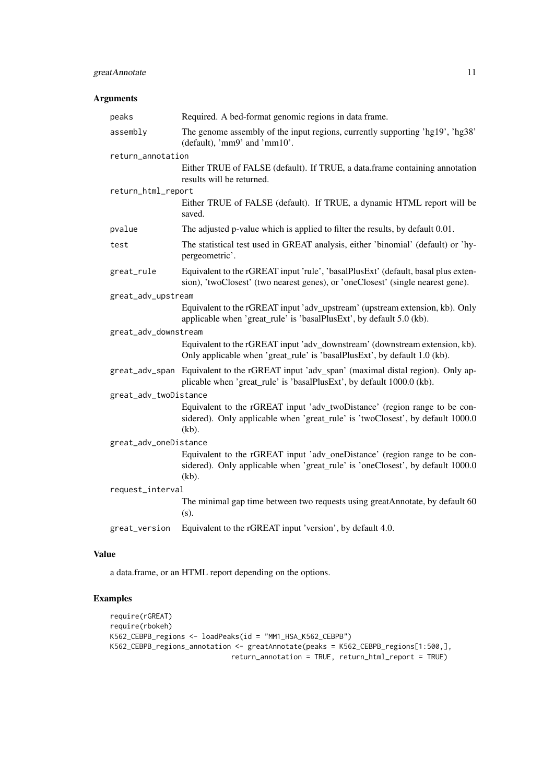### greatAnnotate 11

# Arguments

| peaks                 | Required. A bed-format genomic regions in data frame.                                                                                                                   |
|-----------------------|-------------------------------------------------------------------------------------------------------------------------------------------------------------------------|
| assembly              | The genome assembly of the input regions, currently supporting 'hg19', 'hg38'<br>(default), 'mm9' and 'mm10'.                                                           |
| return_annotation     |                                                                                                                                                                         |
|                       | Either TRUE of FALSE (default). If TRUE, a data.frame containing annotation<br>results will be returned.                                                                |
| return_html_report    |                                                                                                                                                                         |
|                       | Either TRUE of FALSE (default). If TRUE, a dynamic HTML report will be<br>saved.                                                                                        |
| pvalue                | The adjusted p-value which is applied to filter the results, by default 0.01.                                                                                           |
| test                  | The statistical test used in GREAT analysis, either 'binomial' (default) or 'hy-<br>pergeometric'.                                                                      |
| great_rule            | Equivalent to the rGREAT input 'rule', 'basalPlusExt' (default, basal plus exten-<br>sion), 'twoClosest' (two nearest genes), or 'oneClosest' (single nearest gene).    |
| great_adv_upstream    |                                                                                                                                                                         |
|                       | Equivalent to the rGREAT input 'adv_upstream' (upstream extension, kb). Only<br>applicable when 'great_rule' is 'basalPlusExt', by default 5.0 (kb).                    |
| great_adv_downstream  |                                                                                                                                                                         |
|                       | Equivalent to the rGREAT input 'adv_downstream' (downstream extension, kb).<br>Only applicable when 'great_rule' is 'basalPlusExt', by default 1.0 (kb).                |
|                       | great_adv_span Equivalent to the rGREAT input 'adv_span' (maximal distal region). Only ap-<br>plicable when 'great_rule' is 'basalPlusExt', by default 1000.0 (kb).     |
| great_adv_twoDistance |                                                                                                                                                                         |
|                       | Equivalent to the rGREAT input 'adv_twoDistance' (region range to be con-<br>sidered). Only applicable when 'great_rule' is 'twoClosest', by default 1000.0<br>$(kb)$ . |
| great_adv_oneDistance |                                                                                                                                                                         |
|                       | Equivalent to the rGREAT input 'adv_oneDistance' (region range to be con-<br>sidered). Only applicable when 'great_rule' is 'oneClosest', by default 1000.0<br>$(kb)$ . |
| request_interval      |                                                                                                                                                                         |
|                       | The minimal gap time between two requests using greatAnnotate, by default 60<br>$(s)$ .                                                                                 |
| great_version         | Equivalent to the rGREAT input 'version', by default 4.0.                                                                                                               |

# Value

a data.frame, or an HTML report depending on the options.

# Examples

```
require(rGREAT)
require(rbokeh)
K562_CEBPB_regions <- loadPeaks(id = "MM1_HSA_K562_CEBPB")
K562_CEBPB_regions_annotation <- greatAnnotate(peaks = K562_CEBPB_regions[1:500,],
                            return_annotation = TRUE, return_html_report = TRUE)
```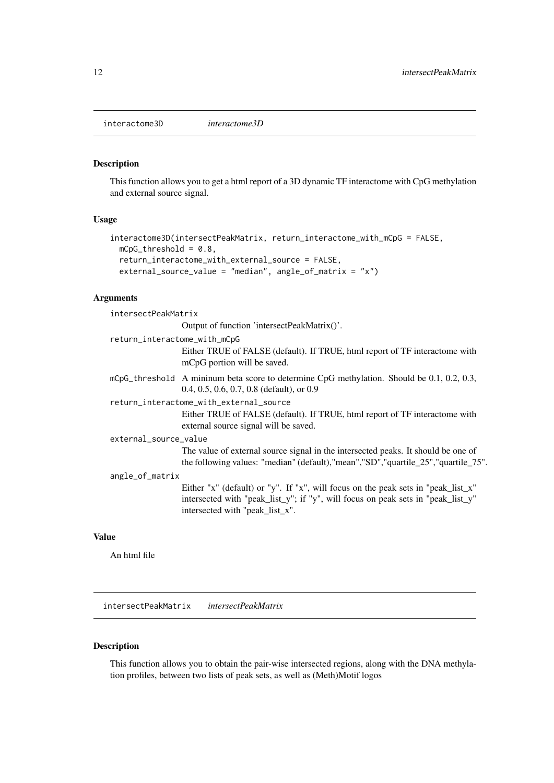<span id="page-11-0"></span>interactome3D *interactome3D*

#### Description

This function allows you to get a html report of a 3D dynamic TF interactome with CpG methylation and external source signal.

# Usage

```
interactome3D(intersectPeakMatrix, return_interactome_with_mCpG = FALSE,
 mCpG_threshold = 0.8,
 return_interactome_with_external_source = FALSE,
 external_source_value = "median", angle_of_matrix = "x")
```
# Arguments

intersectPeakMatrix

Output of function 'intersectPeakMatrix()'.

| return_interactome_with_mCpG | Either TRUE of FALSE (default). If TRUE, html report of TF interactome with<br>mCpG portion will be saved.                                                                                               |
|------------------------------|----------------------------------------------------------------------------------------------------------------------------------------------------------------------------------------------------------|
|                              | mCpG_threshold A mininum beta score to determine CpG methylation. Should be 0.1, 0.2, 0.3,<br>0.4, 0.5, 0.6, 0.7, 0.8 (default), or $0.9$                                                                |
|                              | return_interactome_with_external_source<br>Either TRUE of FALSE (default). If TRUE, html report of TF interactome with<br>external source signal will be saved.                                          |
| external_source_value        | The value of external source signal in the intersected peaks. It should be one of<br>the following values: "median" (default), "mean", "SD", "quartile_25", "quartile_75".                               |
| angle_of_matrix              | Either "x" (default) or "y". If "x", will focus on the peak sets in "peak_list_x"<br>intersected with "peak_list_y"; if "y", will focus on peak sets in "peak_list_y"<br>intersected with "peak_list_x". |

#### Value

An html file

intersectPeakMatrix *intersectPeakMatrix*

# Description

This function allows you to obtain the pair-wise intersected regions, along with the DNA methylation profiles, between two lists of peak sets, as well as (Meth)Motif logos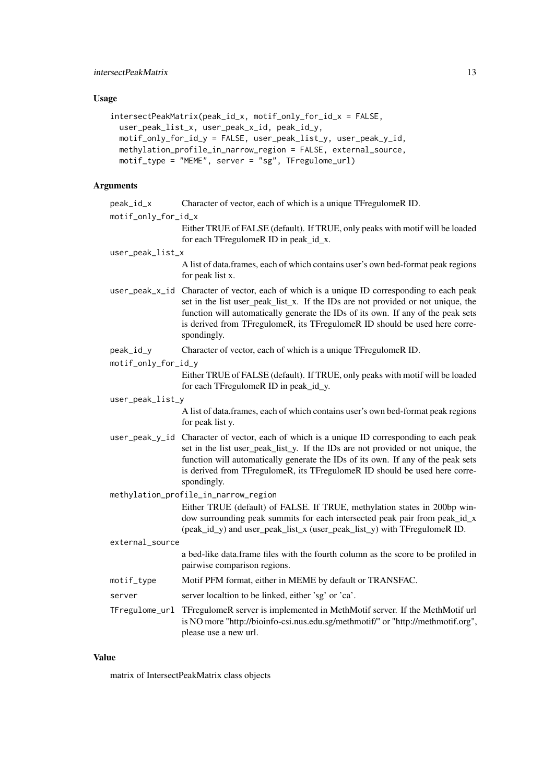#### intersectPeakMatrix 13

#### Usage

```
intersectPeakMatrix(peak_id_x, motif_only_for_id_x = FALSE,
 user_peak_list_x, user_peak_x_id, peak_id_y,
 motif_only_for_id_y = FALSE, user_peak_list_y, user_peak_y_id,
 methylation_profile_in_narrow_region = FALSE, external_source,
 motif_type = "MEME", server = "sg", TFregulome_url)
```
#### Arguments

| peak_id_x | Character of vector, each of which is a unique TFregulomeR ID. |  |  |  |
|-----------|----------------------------------------------------------------|--|--|--|
|           |                                                                |  |  |  |

```
motif_only_for_id_x
```
Either TRUE of FALSE (default). If TRUE, only peaks with motif will be loaded for each TFregulomeR ID in peak\_id\_x.

#### user\_peak\_list\_x

A list of data.frames, each of which contains user's own bed-format peak regions for peak list x.

- user\_peak\_x\_id Character of vector, each of which is a unique ID corresponding to each peak set in the list user\_peak\_list\_x. If the IDs are not provided or not unique, the function will automatically generate the IDs of its own. If any of the peak sets is derived from TFregulomeR, its TFregulomeR ID should be used here correspondingly.
- peak\_id\_y Character of vector, each of which is a unique TFregulomeR ID.
- motif\_only\_for\_id\_y

Either TRUE of FALSE (default). If TRUE, only peaks with motif will be loaded for each TFregulomeR ID in peak\_id\_y.

user\_peak\_list\_y

A list of data.frames, each of which contains user's own bed-format peak regions for peak list y.

- user\_peak\_y\_id Character of vector, each of which is a unique ID corresponding to each peak set in the list user\_peak\_list\_y. If the IDs are not provided or not unique, the function will automatically generate the IDs of its own. If any of the peak sets is derived from TFregulomeR, its TFregulomeR ID should be used here correspondingly.
- methylation\_profile\_in\_narrow\_region

Either TRUE (default) of FALSE. If TRUE, methylation states in 200bp window surrounding peak summits for each intersected peak pair from peak id x (peak id y) and user peak list x (user peak list y) with TFregulomeR ID.

external\_source a bed-like data.frame files with the fourth column as the score to be profiled in pairwise comparison regions. motif\_type Motif PFM format, either in MEME by default or TRANSFAC. server server localtion to be linked, either 'sg' or 'ca'. TFregulome\_url TFregulomeR server is implemented in MethMotif server. If the MethMotif url is NO more "http://bioinfo-csi.nus.edu.sg/methmotif/" or "http://methmotif.org", please use a new url.

#### Value

matrix of IntersectPeakMatrix class objects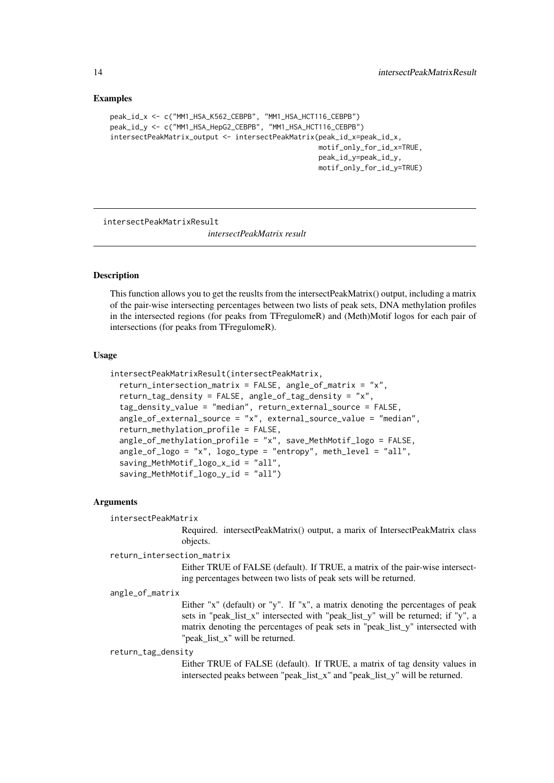#### <span id="page-13-0"></span>Examples

```
peak_id_x <- c("MM1_HSA_K562_CEBPB", "MM1_HSA_HCT116_CEBPB")
peak_id_y <- c("MM1_HSA_HepG2_CEBPB", "MM1_HSA_HCT116_CEBPB")
intersectPeakMatrix_output <- intersectPeakMatrix(peak_id_x=peak_id_x,
                                                  motif_only_for_id_x=TRUE,
                                                  peak_id_y=peak_id_y,
                                                  motif_only_for_id_y=TRUE)
```
intersectPeakMatrixResult

*intersectPeakMatrix result*

#### **Description**

This function allows you to get the reuslts from the intersectPeakMatrix() output, including a matrix of the pair-wise intersecting percentages between two lists of peak sets, DNA methylation profiles in the intersected regions (for peaks from TFregulomeR) and (Meth)Motif logos for each pair of intersections (for peaks from TFregulomeR).

#### Usage

```
intersectPeakMatrixResult(intersectPeakMatrix,
 return_intersection_matrix = FALSE, angle_of_matrix = "x",
 return_tag_density = FALSE, angle_of_tag_density = "x",
  tag_density_value = "median", return_external_source = FALSE,
  angle_of_external_source = "x", external_source_value = "median",
 return_methylation_profile = FALSE,
 angle_of_methylation_profile = "x", save_MethMotif_logo = FALSE,
 angle_of_logo = "x", logo_type = "entropy", meth_level = "all",
 saving_MethMotif_logo_x_id = "all",
  saving_MethMotif_logo_y_id = "all")
```
#### Arguments

intersectPeakMatrix

Required. intersectPeakMatrix() output, a marix of IntersectPeakMatrix class objects.

#### return\_intersection\_matrix

Either TRUE of FALSE (default). If TRUE, a matrix of the pair-wise intersecting percentages between two lists of peak sets will be returned.

#### angle\_of\_matrix

Either "x" (default) or "y". If "x", a matrix denoting the percentages of peak sets in "peak\_list\_x" intersected with "peak\_list\_y" will be returned; if "y", a matrix denoting the percentages of peak sets in "peak\_list\_y" intersected with "peak list x" will be returned.

#### return\_tag\_density

Either TRUE of FALSE (default). If TRUE, a matrix of tag density values in intersected peaks between "peak\_list\_x" and "peak\_list\_y" will be returned.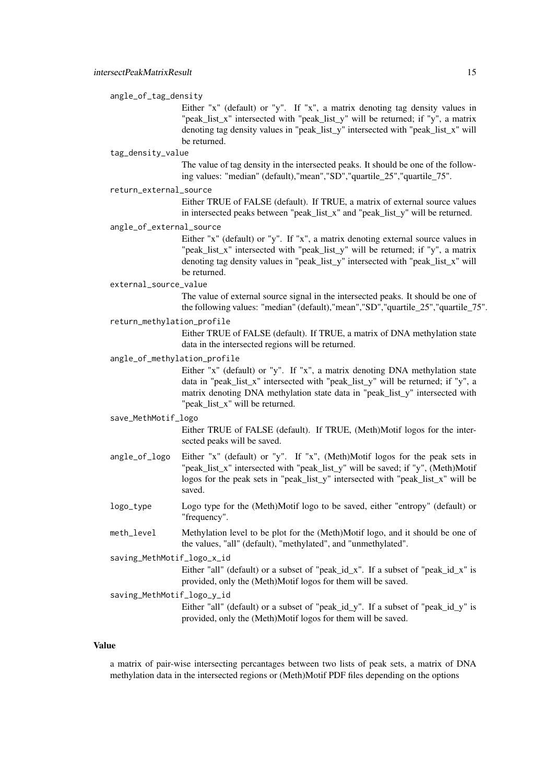#### angle\_of\_tag\_density

Either "x" (default) or "y". If "x", a matrix denoting tag density values in "peak\_list\_x" intersected with "peak\_list\_y" will be returned; if "y", a matrix denoting tag density values in "peak\_list\_y" intersected with "peak\_list\_x" will be returned.

#### tag\_density\_value

The value of tag density in the intersected peaks. It should be one of the following values: "median" (default),"mean","SD","quartile\_25","quartile\_75".

#### return\_external\_source

Either TRUE of FALSE (default). If TRUE, a matrix of external source values in intersected peaks between "peak\_list\_x" and "peak\_list\_y" will be returned.

#### angle\_of\_external\_source

Either "x" (default) or "y". If "x", a matrix denoting external source values in "peak\_list\_x" intersected with "peak\_list\_y" will be returned; if "y", a matrix denoting tag density values in "peak\_list\_y" intersected with "peak\_list\_x" will be returned.

#### external\_source\_value

The value of external source signal in the intersected peaks. It should be one of the following values: "median" (default),"mean","SD","quartile\_25","quartile\_75".

#### return\_methylation\_profile

Either TRUE of FALSE (default). If TRUE, a matrix of DNA methylation state data in the intersected regions will be returned.

#### angle\_of\_methylation\_profile

Either "x" (default) or "y". If "x", a matrix denoting DNA methylation state data in "peak\_list\_x" intersected with "peak\_list\_y" will be returned; if "y", a matrix denoting DNA methylation state data in "peak\_list\_y" intersected with "peak list x" will be returned.

#### save\_MethMotif\_logo

Either TRUE of FALSE (default). If TRUE, (Meth)Motif logos for the intersected peaks will be saved.

- angle of logo Either "x" (default) or "y". If "x", (Meth)Motif logos for the peak sets in "peak list x" intersected with "peak list y" will be saved; if "y", (Meth)Motif logos for the peak sets in "peak list y" intersected with "peak list x" will be saved.
- logo\_type Logo type for the (Meth)Motif logo to be saved, either "entropy" (default) or "frequency".
- meth\_level Methylation level to be plot for the (Meth)Motif logo, and it should be one of the values, "all" (default), "methylated", and "unmethylated".

saving\_MethMotif\_logo\_x\_id

Either "all" (default) or a subset of "peak\_id\_x". If a subset of "peak\_id\_x" is provided, only the (Meth)Motif logos for them will be saved.

saving\_MethMotif\_logo\_y\_id

Either "all" (default) or a subset of "peak\_id\_y". If a subset of "peak\_id\_y" is provided, only the (Meth)Motif logos for them will be saved.

#### Value

a matrix of pair-wise intersecting percantages between two lists of peak sets, a matrix of DNA methylation data in the intersected regions or (Meth)Motif PDF files depending on the options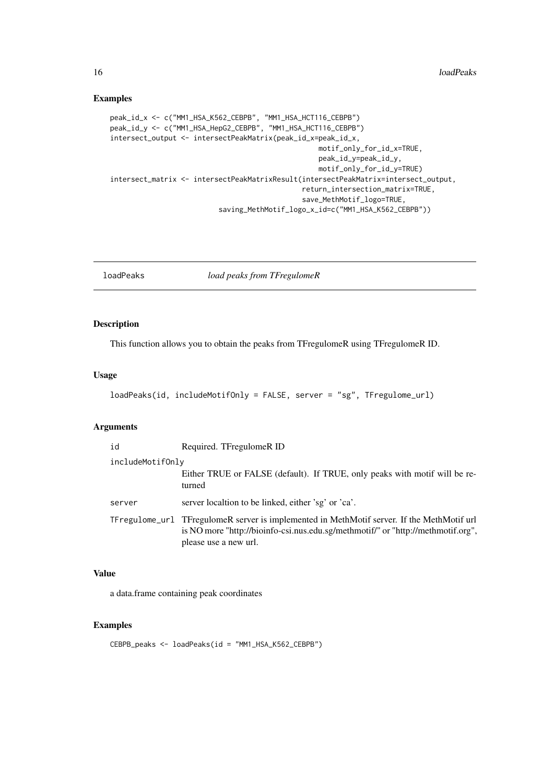### Examples

```
peak_id_x <- c("MM1_HSA_K562_CEBPB", "MM1_HSA_HCT116_CEBPB")
peak_id_y <- c("MM1_HSA_HepG2_CEBPB", "MM1_HSA_HCT116_CEBPB")
intersect_output <- intersectPeakMatrix(peak_id_x=peak_id_x,
                                                  motif_only_for_id_x=TRUE,
                                                  peak_id_y=peak_id_y,
                                                  motif_only_for_id_y=TRUE)
intersect_matrix <- intersectPeakMatrixResult(intersectPeakMatrix=intersect_output,
                                              return_intersection_matrix=TRUE,
                                              save_MethMotif_logo=TRUE,
                          saving_MethMotif_logo_x_id=c("MM1_HSA_K562_CEBPB"))
```
loadPeaks *load peaks from TFregulomeR*

#### Description

This function allows you to obtain the peaks from TFregulomeR using TFregulomeR ID.

#### Usage

```
loadPeaks(id, includeMotifOnly = FALSE, server = "sg", TFregulome_url)
```
#### Arguments

| id               | Required. TFregulomeR ID                                                                                                                                                                                |
|------------------|---------------------------------------------------------------------------------------------------------------------------------------------------------------------------------------------------------|
| includeMotifOnly |                                                                                                                                                                                                         |
|                  | Either TRUE or FALSE (default). If TRUE, only peaks with motif will be re-<br>turned                                                                                                                    |
| server           | server localtion to be linked, either 'sg' or 'ca'.                                                                                                                                                     |
|                  | TFregulome_url TFregulomeR server is implemented in MethMotif server. If the MethMotif url<br>is NO more "http://bioinfo-csi.nus.edu.sg/methmotif/" or "http://methmotif.org",<br>please use a new url. |

# Value

a data.frame containing peak coordinates

# Examples

CEBPB\_peaks <- loadPeaks(id = "MM1\_HSA\_K562\_CEBPB")

<span id="page-15-0"></span>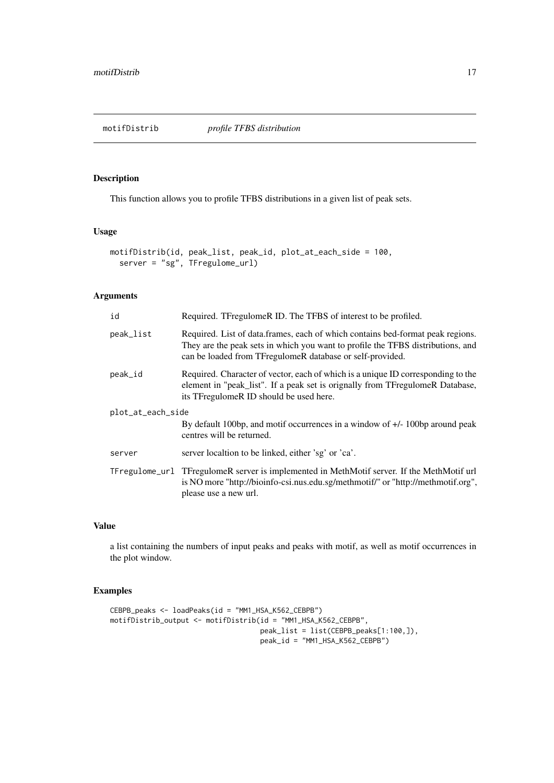<span id="page-16-0"></span>

# Description

This function allows you to profile TFBS distributions in a given list of peak sets.

# Usage

```
motifDistrib(id, peak_list, peak_id, plot_at_each_side = 100,
  server = "sg", TFregulome_url)
```
### Arguments

| id                | Required. TFregulomeR ID. The TFBS of interest to be profiled.                                                                                                                                                                 |  |
|-------------------|--------------------------------------------------------------------------------------------------------------------------------------------------------------------------------------------------------------------------------|--|
| peak_list         | Required. List of data frames, each of which contains bed-format peak regions.<br>They are the peak sets in which you want to profile the TFBS distributions, and<br>can be loaded from TFregulomeR database or self-provided. |  |
| peak_id           | Required. Character of vector, each of which is a unique ID corresponding to the<br>element in "peak_list". If a peak set is orignally from TFregulomeR Database,<br>its TFregulomeR ID should be used here.                   |  |
| plot_at_each_side |                                                                                                                                                                                                                                |  |
|                   | By default 100bp, and motif occurrences in a window of $+/-100$ around peak<br>centres will be returned.                                                                                                                       |  |
| server            | server localtion to be linked, either 'sg' or 'ca'.                                                                                                                                                                            |  |
|                   | TFregulome_url TFregulomeR server is implemented in MethMotif server. If the MethMotif url<br>is NO more "http://bioinfo-csi.nus.edu.sg/methmotif/" or "http://methmotif.org",<br>please use a new url.                        |  |
|                   |                                                                                                                                                                                                                                |  |

# Value

a list containing the numbers of input peaks and peaks with motif, as well as motif occurrences in the plot window.

# Examples

```
CEBPB_peaks <- loadPeaks(id = "MM1_HSA_K562_CEBPB")
motifDistrib_output <- motifDistrib(id = "MM1_HSA_K562_CEBPB",
                                    peak_list = list(CEBPB_peaks[1:100,]),
                                   peak_id = "MM1_HSA_K562_CEBPB")
```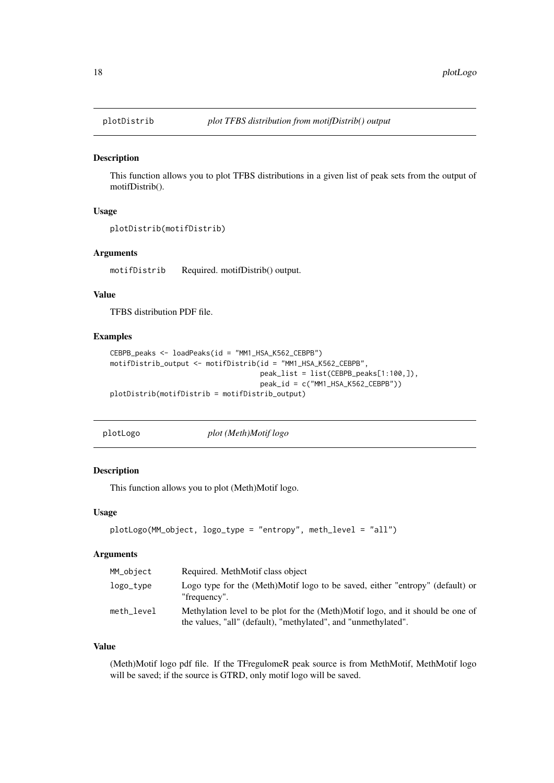<span id="page-17-0"></span>

### Description

This function allows you to plot TFBS distributions in a given list of peak sets from the output of motifDistrib().

#### Usage

```
plotDistrib(motifDistrib)
```
#### Arguments

motifDistrib Required. motifDistrib() output.

#### Value

TFBS distribution PDF file.

#### Examples

```
CEBPB_peaks <- loadPeaks(id = "MM1_HSA_K562_CEBPB")
motifDistrib_output <- motifDistrib(id = "MM1_HSA_K562_CEBPB",
                                    peak_list = list(CEBPB_peaks[1:100,]),
                                    peak_id = c("MM1_HSA_K562_CEBPB"))
plotDistrib(motifDistrib = motifDistrib_output)
```

| plotLogo |  |
|----------|--|
|----------|--|

 $plot$  (Meth)Motif logo

#### Description

This function allows you to plot (Meth)Motif logo.

#### Usage

```
plotLogo(MM_object, logo_type = "entropy", meth_level = "all")
```
### Arguments

| MM_object  | Required. MethMotif class object                                                                                                                 |
|------------|--------------------------------------------------------------------------------------------------------------------------------------------------|
| $logo_t$   | Logo type for the (Meth)Motif logo to be saved, either "entropy" (default) or<br>"frequency".                                                    |
| meth level | Methylation level to be plot for the (Meth)Motif logo, and it should be one of<br>the values, "all" (default), "methylated", and "unmethylated". |

#### Value

(Meth)Motif logo pdf file. If the TFregulomeR peak source is from MethMotif, MethMotif logo will be saved; if the source is GTRD, only motif logo will be saved.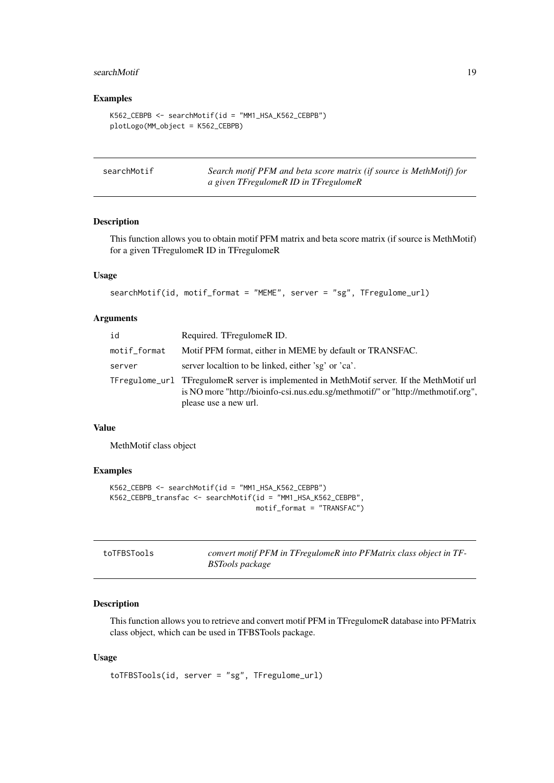#### <span id="page-18-0"></span>searchMotif 19

#### Examples

```
K562_CEBPB <- searchMotif(id = "MM1_HSA_K562_CEBPB")
plotLogo(MM_object = K562_CEBPB)
```

| searchMotif | Search motif PFM and beta score matrix (if source is MethMotif) for |
|-------------|---------------------------------------------------------------------|
|             | a given TFregulomeR ID in TFregulomeR                               |

#### Description

This function allows you to obtain motif PFM matrix and beta score matrix (if source is MethMotif) for a given TFregulomeR ID in TFregulomeR

# Usage

```
searchMotif(id, motif_format = "MEME", server = "sg", TFregulome_url)
```
#### Arguments

| id           | Required. TFregulomeR ID.                                                                                                                                                                               |
|--------------|---------------------------------------------------------------------------------------------------------------------------------------------------------------------------------------------------------|
| motif_format | Motif PFM format, either in MEME by default or TRANSFAC.                                                                                                                                                |
| server       | server localtion to be linked, either 'sg' or 'ca'.                                                                                                                                                     |
|              | TFregulome_url TFregulomeR server is implemented in MethMotif server. If the MethMotif url<br>is NO more "http://bioinfo-csi.nus.edu.sg/methmotif/" or "http://methmotif.org",<br>please use a new url. |

# Value

MethMotif class object

### Examples

```
K562_CEBPB <- searchMotif(id = "MM1_HSA_K562_CEBPB")
K562_CEBPB_transfac <- searchMotif(id = "MM1_HSA_K562_CEBPB",
                                   motif_format = "TRANSFAC")
```

| toTFBSTools | convert motif PFM in TFregulomeR into PFMatrix class object in TF- |
|-------------|--------------------------------------------------------------------|
|             | BSTools package                                                    |

#### Description

This function allows you to retrieve and convert motif PFM in TFregulomeR database into PFMatrix class object, which can be used in TFBSTools package.

```
toTFBSTools(id, server = "sg", TFregulome_url)
```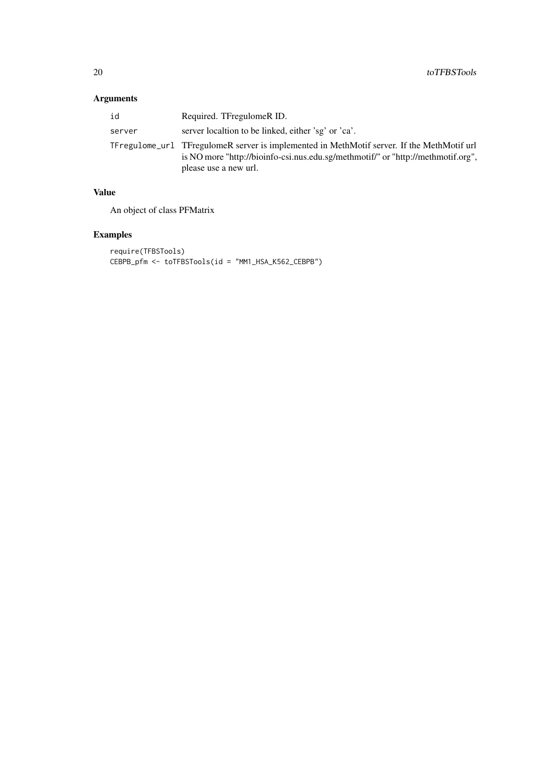# Arguments

| id     | Required. TFregulomeR ID.                                                                                                                                                                               |
|--------|---------------------------------------------------------------------------------------------------------------------------------------------------------------------------------------------------------|
| server | server localtion to be linked, either 'sg' or 'ca'.                                                                                                                                                     |
|        | TFregulome_url TFregulomeR server is implemented in MethMotif server. If the MethMotif url<br>is NO more "http://bioinfo-csi.nus.edu.sg/methmotif/" or "http://methmotif.org",<br>please use a new url. |

# Value

An object of class PFMatrix

# Examples

```
require(TFBSTools)
CEBPB_pfm <- toTFBSTools(id = "MM1_HSA_K562_CEBPB")
```